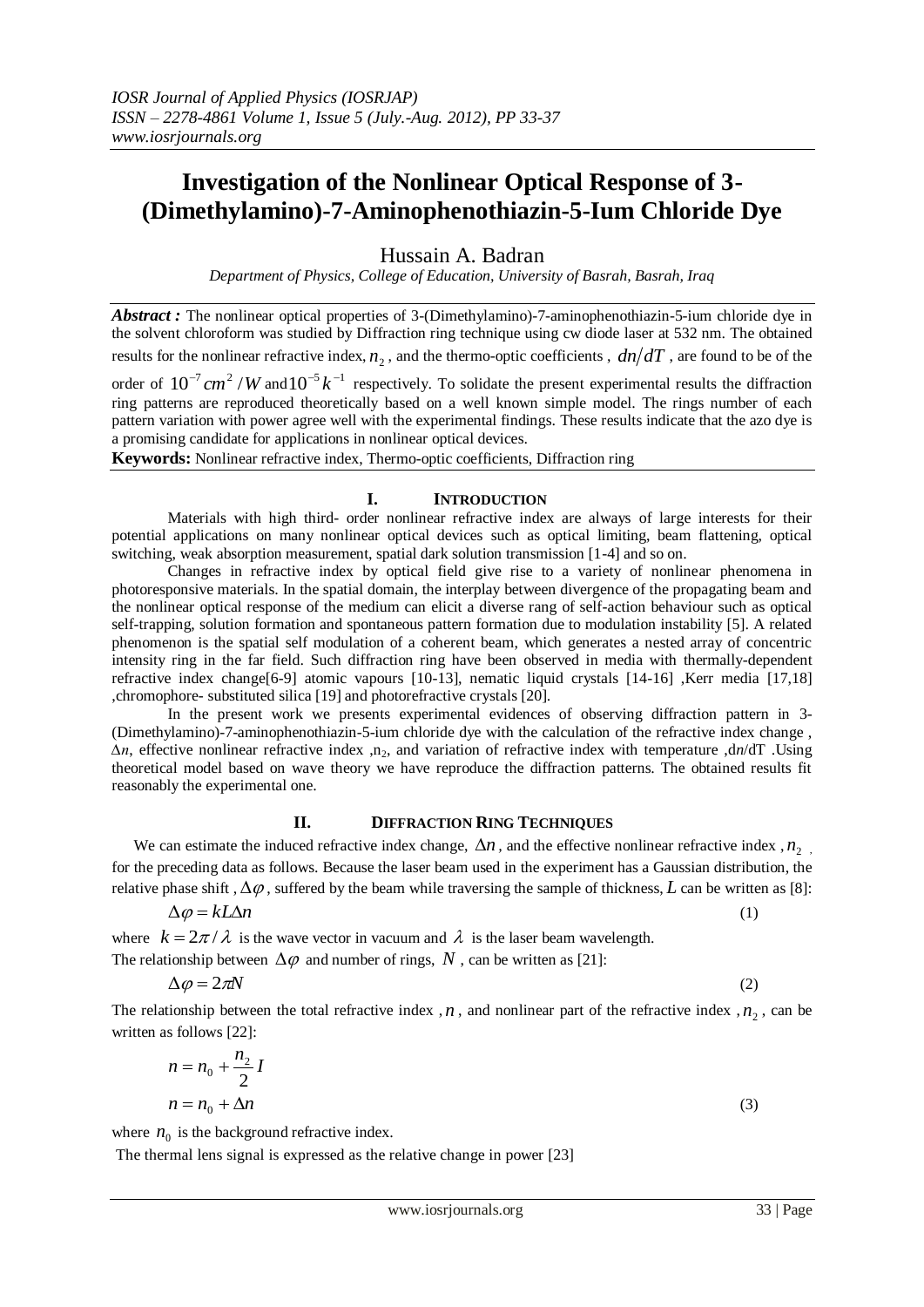# **Investigation of the Nonlinear Optical Response of 3- (Dimethylamino)-7-Aminophenothiazin-5-Ium Chloride Dye**

Hussain A. Badran

*Department of Physics, College of Education, University of Basrah, Basrah, Iraq*

*Abstract :* The nonlinear optical properties of 3-(Dimethylamino)-7-aminophenothiazin-5-ium chloride dye in the solvent chloroform was studied by Diffraction ring technique using cw diode laser at 532 nm. The obtained results for the nonlinear refractive index,  $n_2$ , and the thermo-optic coefficients ,  $dn/dT$  , are found to be of the

order of  $10^{-7}$  cm<sup>2</sup> /*W* and  $10^{-5}$  k<sup>-1</sup> respectively. To solidate the present experimental results the diffraction ring patterns are reproduced theoretically based on a well known simple model. The rings number of each pattern variation with power agree well with the experimental findings. These results indicate that the azo dye is a promising candidate for applications in nonlinear optical devices.

**Keywords:** Nonlinear refractive index, Thermo-optic coefficients, Diffraction ring

## **I. INTRODUCTION**

Materials with high third- order nonlinear refractive index are always of large interests for their potential applications on many nonlinear optical devices such as optical limiting, beam flattening, optical switching, weak absorption measurement, spatial dark solution transmission [1-4] and so on.

Changes in refractive index by optical field give rise to a variety of nonlinear phenomena in photoresponsive materials. In the spatial domain, the interplay between divergence of the propagating beam and the nonlinear optical response of the medium can elicit a diverse rang of self-action behaviour such as optical self-trapping, solution formation and spontaneous pattern formation due to modulation instability [5]. A related phenomenon is the spatial self modulation of a coherent beam, which generates a nested array of concentric intensity ring in the far field. Such diffraction ring have been observed in media with thermally-dependent refractive index change[6-9] atomic vapours [10-13], nematic liquid crystals [14-16] ,Kerr media [17,18] ,chromophore- substituted silica [19] and photorefractive crystals [20].

In the present work we presents experimental evidences of observing diffraction pattern in 3- (Dimethylamino)-7-aminophenothiazin-5-ium chloride dye with the calculation of the refractive index change , *∆n*, effective nonlinear refractive index ,n2, and variation of refractive index with temperature ,d*n*/dT .Using theoretical model based on wave theory we have reproduce the diffraction patterns. The obtained results fit reasonably the experimental one.

### **II. DIFFRACTION RING TECHNIQUES**

We can estimate the induced refractive index change,  $\Delta n$ , and the effective nonlinear refractive index,  $n_2$ , for the preceding data as follows. Because the laser beam used in the experiment has a Gaussian distribution, the relative phase shift ,  $\Delta\varphi$  , suffered by the beam while traversing the sample of thickness, L can be written as [8]:

$$
\Delta \varphi = kL\Delta n \tag{1}
$$

where  $k = 2\pi/\lambda$  is the wave vector in vacuum and  $\lambda$  is the laser beam wavelength. The relationship between  $\Delta \varphi$  and number of rings, N, can be written as [21]:

$$
\Delta \varphi = 2\pi N \tag{2}
$$

The relationship between the total refractive index,  $n$ , and nonlinear part of the refractive index,  $n_2$ , can be written as follows [22]:

$$
n = n_0 + \frac{n_2}{2}I
$$
  

$$
n = n_0 + \Delta n
$$
 (3)

where  $n_0$  is the background refractive index.

The thermal lens signal is expressed as the relative change in power [23]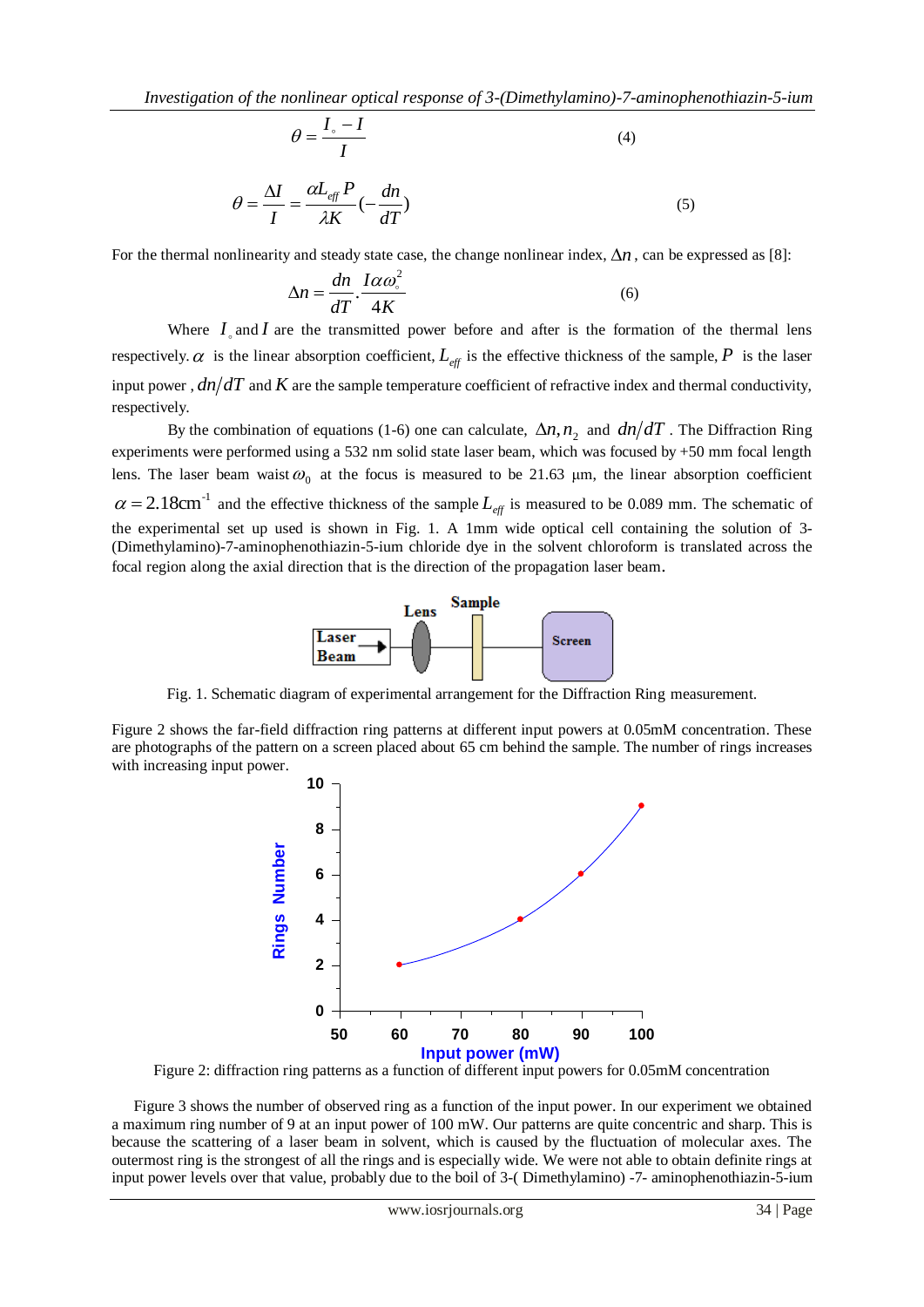$$
\theta = \frac{I_{\circ} - I}{I} \tag{4}
$$

$$
\theta = \frac{\Delta I}{I} = \frac{\alpha L_{\text{eff}} P}{\lambda K} (-\frac{dn}{dT})
$$
\n(5)

For the thermal nonlinearity and steady state case, the change nonlinear index,  $\Delta n$ , can be expressed as [8]:

$$
\Delta n = \frac{dn}{dT} \cdot \frac{I \alpha \omega^2}{4K} \tag{6}
$$

Where  $I_{\circ}$  and  $I$  are the transmitted power before and after is the formation of the thermal lens respectively.  $\alpha$  is the linear absorption coefficient,  $L_{\text{eff}}$  is the effective thickness of the sample, P is the laser input power,  $dn/dT$  and K are the sample temperature coefficient of refractive index and thermal conductivity, respectively.

By the combination of equations (1-6) one can calculate,  $\Delta n$ ,  $n_2$  and  $dn/dT$ . The Diffraction Ring experiments were performed using a 532 nm solid state laser beam, which was focused by +50 mm focal length lens. The laser beam waist  $\omega_0$  at the focus is measured to be 21.63  $\mu$ m, the linear absorption coefficient  $\alpha = 2.18$ cm<sup>-1</sup> and the effective thickness of the sample  $L_{\text{eff}}$  is measured to be 0.089 mm. The schematic of the experimental set up used is shown in Fig. 1. A 1mm wide optical cell containing the solution of 3- (Dimethylamino)-7-aminophenothiazin-5-ium chloride dye in the solvent chloroform is translated across the focal region along the axial direction that is the direction of the propagation laser beam.



Fig. 1. Schematic diagram of experimental arrangement for the Diffraction Ring measurement.

Figure 2 shows the far-field diffraction ring patterns at different input powers at 0.05mM concentration. These are photographs of the pattern on a screen placed about 65 cm behind the sample. The number of rings increases with increasing input power.



Figure 2: diffraction ring patterns as a function of different input powers for 0.05mM concentration

Figure 3 shows the number of observed ring as a function of the input power. In our experiment we obtained a maximum ring number of 9 at an input power of 100 mW. Our patterns are quite concentric and sharp. This is because the scattering of a laser beam in solvent, which is caused by the fluctuation of molecular axes. The outermost ring is the strongest of all the rings and is especially wide. We were not able to obtain definite rings at input power levels over that value, probably due to the boil of 3-( Dimethylamino) -7- aminophenothiazin-5-ium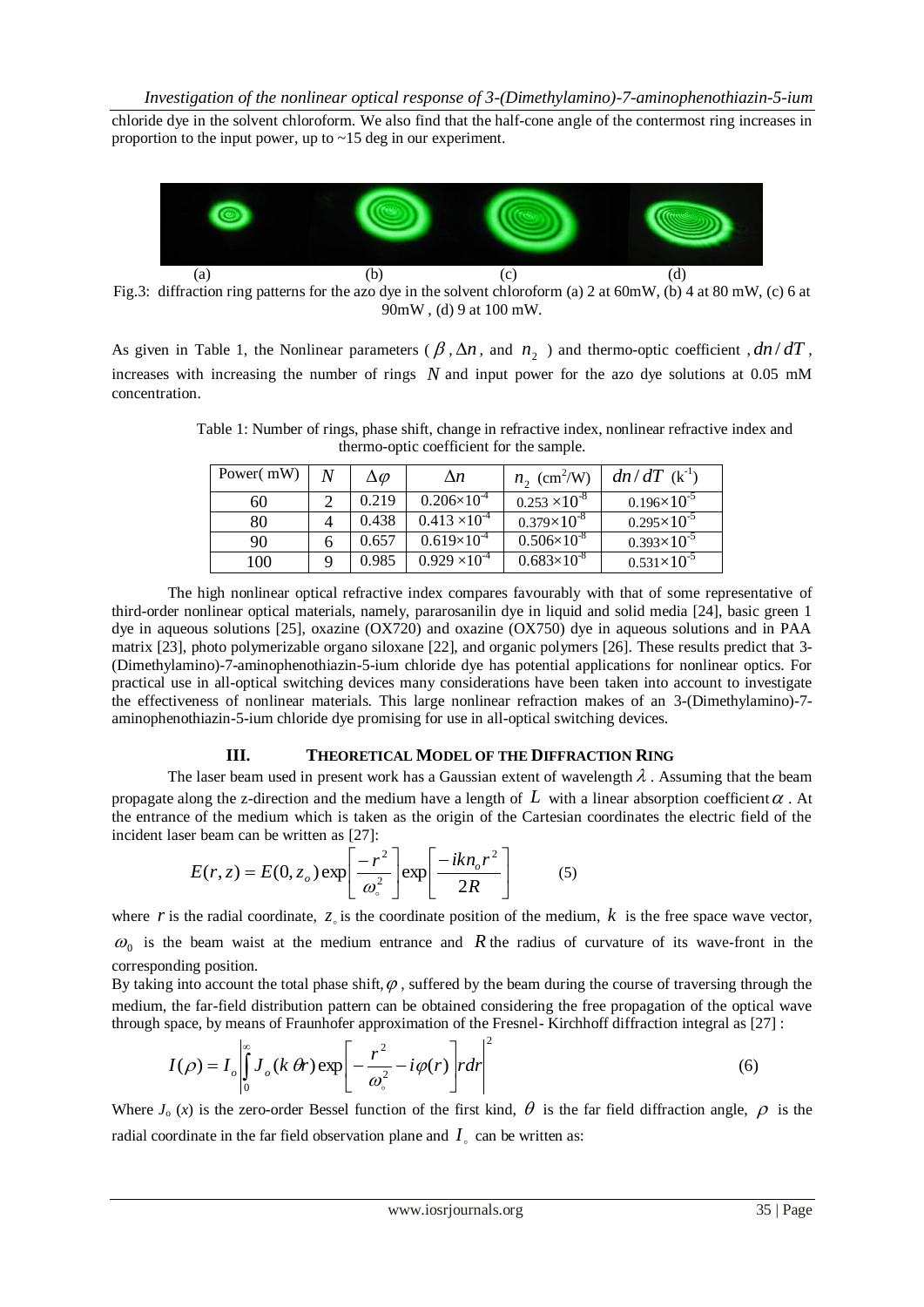chloride dye in the solvent chloroform. We also find that the half-cone angle of the contermost ring increases in proportion to the input power, up to ~15 deg in our experiment.



Fig.3: diffraction ring patterns for the azo dye in the solvent chloroform (a) 2 at 60mW, (b) 4 at 80 mW, (c) 6 at 90mW , (d) 9 at 100 mW.

As given in Table 1, the Nonlinear parameters ( $\beta$ ,  $\Delta n$ , and  $n_2$ ) and thermo-optic coefficient,  $dn/dT$ , increases with increasing the number of rings *N* and input power for the azo dye solutions at 0.05 mM concentration.

Table 1: Number of rings, phase shift, change in refractive index, nonlinear refractive index and thermo-optic coefficient for the sample.

| Power(mW) | $\Delta\varphi$ | $\Delta n$             | $n_2$ (cm <sup>2</sup> /W) | $dn/dT$ (k <sup>-1</sup> ) |
|-----------|-----------------|------------------------|----------------------------|----------------------------|
| 60        | 0.219           | $0.206\times10^{4}$    | $0.253 \times 10^{-8}$     | $0.196 \times 10^{-5}$     |
| 80        | 0.438           | $0.413 \times 10^{-4}$ | $0.379\times10^{-8}$       | $0.295\times10^{-5}$       |
| 90        | 0.657           | $0.619\times10^{4}$    | $0.506 \times 10^{-8}$     | $0.393\times10^{-5}$       |
| 100       | 0.985           | $0.929 \times 10^{-4}$ | $0.683\times10^{-8}$       | $0.531\times10^{-5}$       |

The high nonlinear optical refractive index compares favourably with that of some representative of third-order nonlinear optical materials, namely, pararosanilin dye in liquid and solid media [24], basic green 1 dye in aqueous solutions [25], oxazine (OX720) and oxazine (OX750) dye in aqueous solutions and in PAA matrix [23], photo polymerizable organo siloxane [22], and organic polymers [26]. These results predict that 3- (Dimethylamino)-7-aminophenothiazin-5-ium chloride dye has potential applications for nonlinear optics. For practical use in all-optical switching devices many considerations have been taken into account to investigate the effectiveness of nonlinear materials. This large nonlinear refraction makes of an 3-(Dimethylamino)-7 aminophenothiazin-5-ium chloride dye promising for use in all-optical switching devices.

## **III. THEORETICAL MODEL OF THE DIFFRACTION RING**

The laser beam used in present work has a Gaussian extent of wavelength  $\lambda$ . Assuming that the beam propagate along the z-direction and the medium have a length of  $L$  with a linear absorption coefficient  $\alpha$ . At the entrance of the medium which is taken as the origin of the Cartesian coordinates the electric field of the incident laser beam can be written as [27]:

$$
E(r, z) = E(0, z_o) \exp\left[\frac{-r^2}{\omega_o^2}\right] \exp\left[\frac{-ikn_o r^2}{2R}\right]
$$
 (5)

where  $r$  is the radial coordinate,  $z<sub>o</sub>$  is the coordinate position of the medium,  $k$  is the free space wave vector,  $\omega_0$  is the beam waist at the medium entrance and R the radius of curvature of its wave-front in the corresponding position.

By taking into account the total phase shift,  $\varphi$ , suffered by the beam during the course of traversing through the medium, the far-field distribution pattern can be obtained considering the free propagation of the optical wave through space, by means of Fraunhofer approximation of the Fresnel- Kirchhoff diffraction integral as [27] :

$$
I(\rho) = I_o \left| \int_0^\infty J_o(k \, \theta r) \exp \left[ -\frac{r^2}{\omega_s^2} - i \varphi(r) \right] r dr \right|^2 \tag{6}
$$

Where  $J_0(x)$  is the zero-order Bessel function of the first kind,  $\theta$  is the far field diffraction angle,  $\rho$  is the radial coordinate in the far field observation plane and  $I_{\circ}$  can be written as: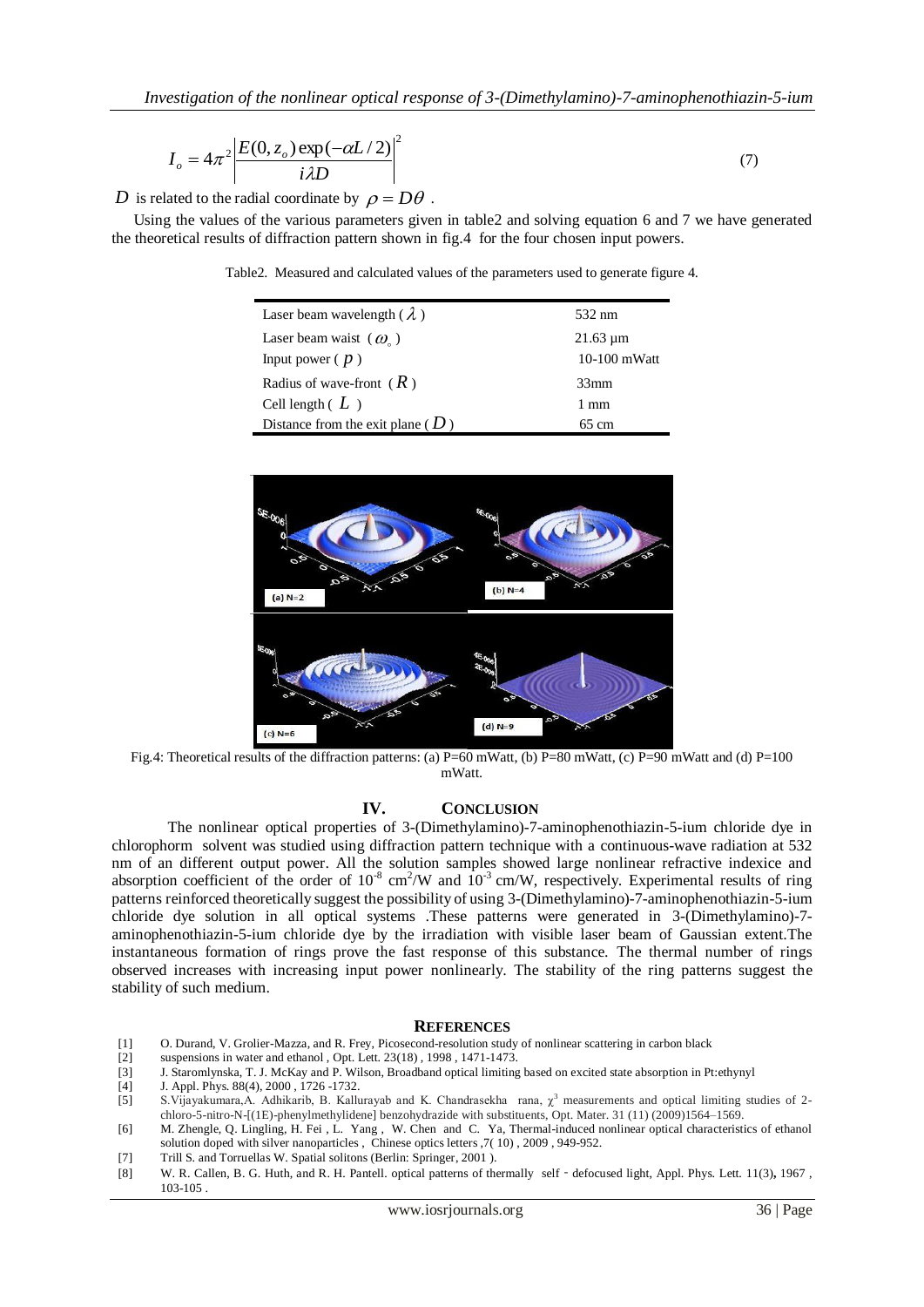$$
I_o = 4\pi^2 \left| \frac{E(0, z_o) \exp(-\alpha L/2)}{i\lambda D} \right|^2 \tag{7}
$$

D is related to the radial coordinate by  $\rho = D\theta$ .

Using the values of the various parameters given in table2 and solving equation 6 and 7 we have generated the theoretical results of diffraction pattern shown in fig.4 for the four chosen input powers.

Table2. Measured and calculated values of the parameters used to generate figure 4.

| Laser beam wavelength ( $\lambda$ )  | 532 nm         |
|--------------------------------------|----------------|
| Laser beam waist $(\omega)$          | $21.63 \mu m$  |
| Input power $(p)$                    | $10-100$ mWatt |
| Radius of wave-front $(R)$           | 33mm           |
| Cell length $(L)$                    | 1 mm           |
| Distance from the exit plane ( $D$ ) | 65 cm          |



Fig.4: Theoretical results of the diffraction patterns: (a)  $P=60$  mWatt, (b)  $P=80$  mWatt, (c)  $P=90$  mWatt and (d)  $P=100$ mWatt.

#### **IV. CONCLUSION**

The nonlinear optical properties of 3-(Dimethylamino)-7-aminophenothiazin-5-ium chloride dye in chlorophorm solvent was studied using diffraction pattern technique with a continuous-wave radiation at 532 nm of an different output power. All the solution samples showed large nonlinear refractive indexice and absorption coefficient of the order of  $10^{-8}$  cm<sup>2</sup>/W and  $10^{-3}$  cm/W, respectively. Experimental results of ring patterns reinforced theoretically suggest the possibility of using 3-(Dimethylamino)-7-aminophenothiazin-5-ium chloride dye solution in all optical systems .These patterns were generated in 3-(Dimethylamino)-7 aminophenothiazin-5-ium chloride dye by the irradiation with visible laser beam of Gaussian extent.The instantaneous formation of rings prove the fast response of this substance. The thermal number of rings observed increases with increasing input power nonlinearly. The stability of the ring patterns suggest the stability of such medium.

#### **REFERENCES**

- [1] O. Durand, V. Grolier-Mazza, and R. Frey, Picosecond-resolution study of nonlinear scattering in carbon black
- [2] suspensions in water and ethanol , Opt. Lett. 23(18) , 1998 , 1471-1473.
- [3] J. Staromlynska, T. J. McKay and P. Wilson, [Broadband optical limiting based on excited state absorption in Pt:ethynyl](http://ieeexplore.ieee.org/xpl/articleDetails.jsp?tp=&arnumber=5027510&contentType=Journals+%26+Magazines&sortType%3Dasc_p_Sequence%26filter%3DAND%28p_IS_Number%3A5027504%29)
- [4] J. Appl. Phys. 88(4), 2000 , 1726 -1732.
- [5] S.Vijayakumara,A. Adhikarib, B. Kallurayab and K. Chandrasekha rana,  $\chi^3$  measurements and optical limiting studies of 2chloro-5-nitro-N-[(1E)-phenylmethylidene] benzohydrazide with substituents, Opt. Mater. 31 (11) (2009)1564–1569.
- [6] M. Zhengle, Q. Lingling, H. Fei , L. Yang , W. Chen and C. Ya, Thermal-induced nonlinear optical characteristics of ethanol solution doped with silver nanoparticles , Chinese optics letters ,7( 10) , 2009 , 949-952.
- [7] Trill S. and Torruellas W. Spatial solitons (Berlin: Springer, 2001).
- [8] W. R. Callen, B. G. Huth, and R. H. Pantell. optical patterns of thermally self‐defocused light, Appl. Phys. Lett. 11(3)**,** 1967 , 103-105 .